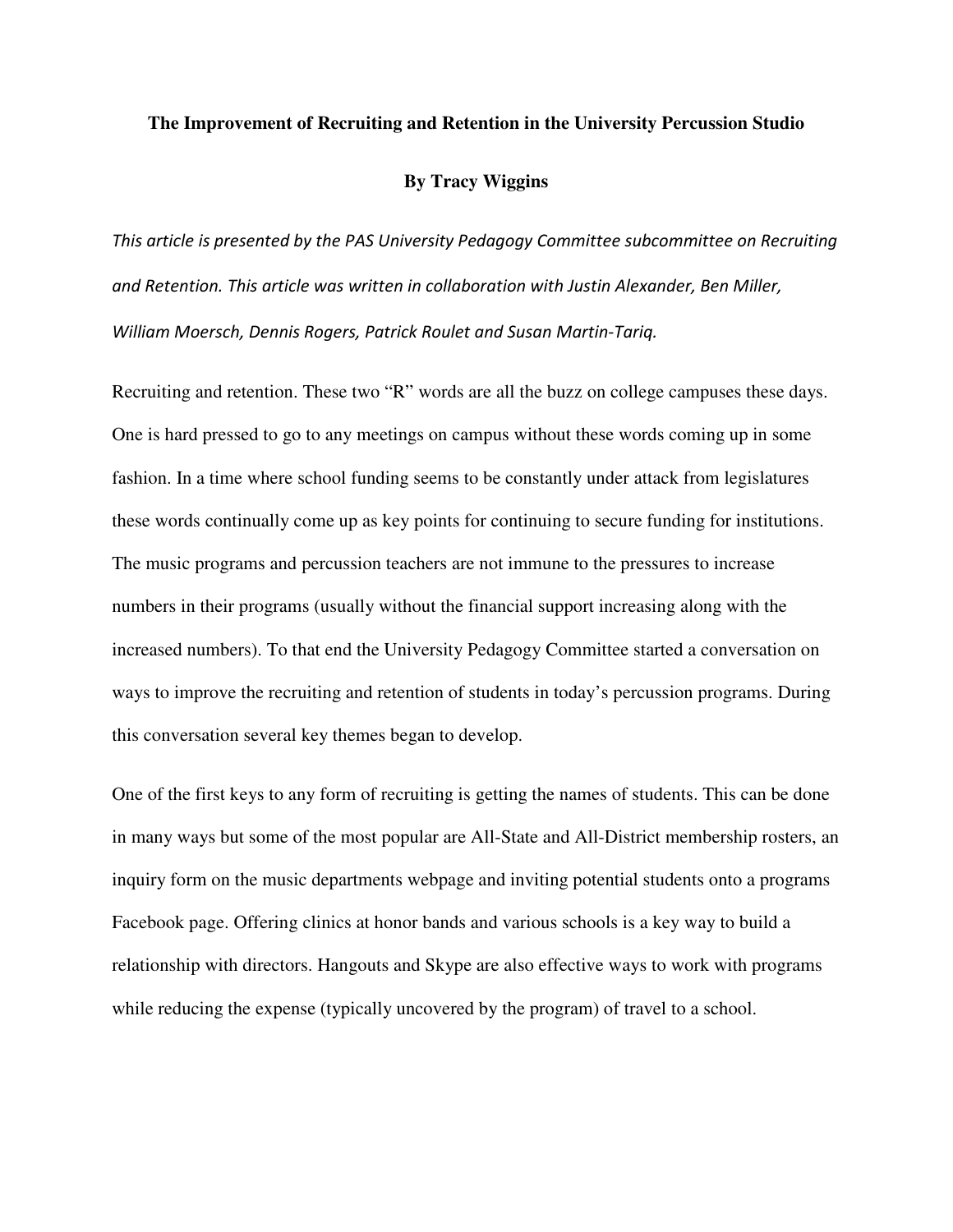## **The Improvement of Recruiting and Retention in the University Percussion Studio**

## **By Tracy Wiggins**

This article is presented by the PAS University Pedagogy Committee subcommittee on Recruiting and Retention. This article was written in collaboration with Justin Alexander, Ben Miller, William Moersch, Dennis Rogers, Patrick Roulet and Susan Martin-Tariq.

Recruiting and retention. These two "R" words are all the buzz on college campuses these days. One is hard pressed to go to any meetings on campus without these words coming up in some fashion. In a time where school funding seems to be constantly under attack from legislatures these words continually come up as key points for continuing to secure funding for institutions. The music programs and percussion teachers are not immune to the pressures to increase numbers in their programs (usually without the financial support increasing along with the increased numbers). To that end the University Pedagogy Committee started a conversation on ways to improve the recruiting and retention of students in today's percussion programs. During this conversation several key themes began to develop.

One of the first keys to any form of recruiting is getting the names of students. This can be done in many ways but some of the most popular are All-State and All-District membership rosters, an inquiry form on the music departments webpage and inviting potential students onto a programs Facebook page. Offering clinics at honor bands and various schools is a key way to build a relationship with directors. Hangouts and Skype are also effective ways to work with programs while reducing the expense (typically uncovered by the program) of travel to a school.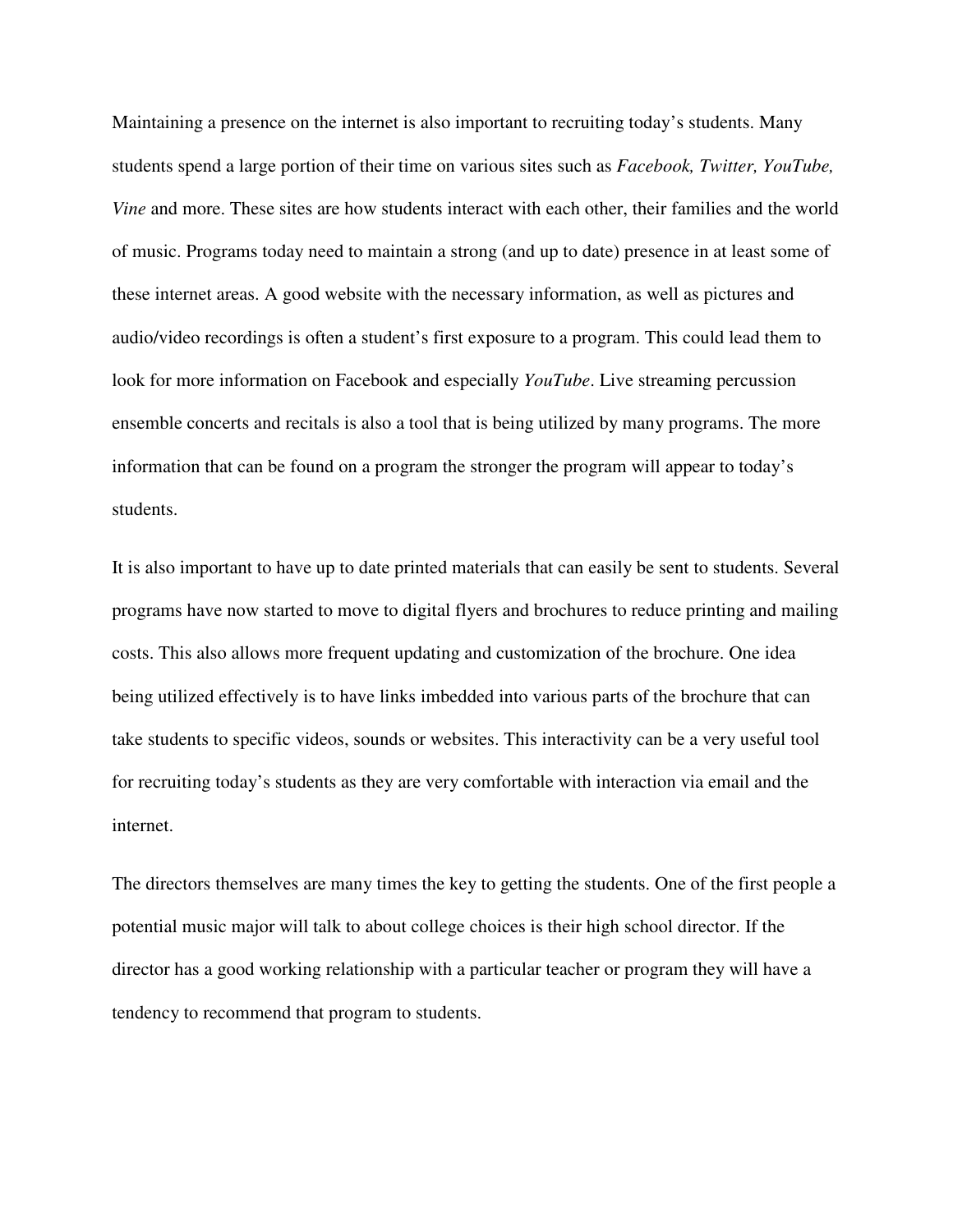Maintaining a presence on the internet is also important to recruiting today's students. Many students spend a large portion of their time on various sites such as *Facebook, Twitter, YouTube, Vine* and more. These sites are how students interact with each other, their families and the world of music. Programs today need to maintain a strong (and up to date) presence in at least some of these internet areas. A good website with the necessary information, as well as pictures and audio/video recordings is often a student's first exposure to a program. This could lead them to look for more information on Facebook and especially *YouTube*. Live streaming percussion ensemble concerts and recitals is also a tool that is being utilized by many programs. The more information that can be found on a program the stronger the program will appear to today's students.

It is also important to have up to date printed materials that can easily be sent to students. Several programs have now started to move to digital flyers and brochures to reduce printing and mailing costs. This also allows more frequent updating and customization of the brochure. One idea being utilized effectively is to have links imbedded into various parts of the brochure that can take students to specific videos, sounds or websites. This interactivity can be a very useful tool for recruiting today's students as they are very comfortable with interaction via email and the internet.

The directors themselves are many times the key to getting the students. One of the first people a potential music major will talk to about college choices is their high school director. If the director has a good working relationship with a particular teacher or program they will have a tendency to recommend that program to students.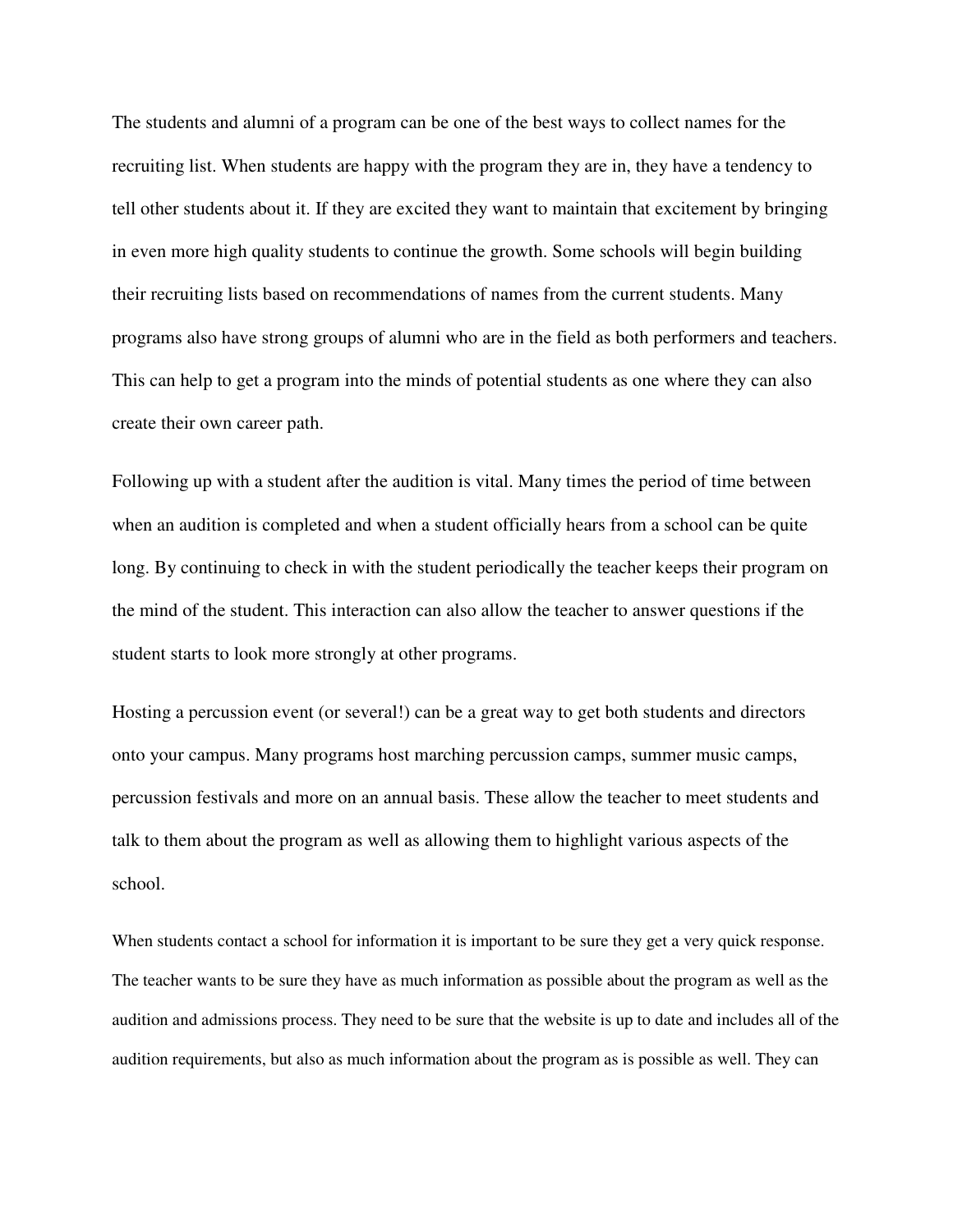The students and alumni of a program can be one of the best ways to collect names for the recruiting list. When students are happy with the program they are in, they have a tendency to tell other students about it. If they are excited they want to maintain that excitement by bringing in even more high quality students to continue the growth. Some schools will begin building their recruiting lists based on recommendations of names from the current students. Many programs also have strong groups of alumni who are in the field as both performers and teachers. This can help to get a program into the minds of potential students as one where they can also create their own career path.

Following up with a student after the audition is vital. Many times the period of time between when an audition is completed and when a student officially hears from a school can be quite long. By continuing to check in with the student periodically the teacher keeps their program on the mind of the student. This interaction can also allow the teacher to answer questions if the student starts to look more strongly at other programs.

Hosting a percussion event (or several!) can be a great way to get both students and directors onto your campus. Many programs host marching percussion camps, summer music camps, percussion festivals and more on an annual basis. These allow the teacher to meet students and talk to them about the program as well as allowing them to highlight various aspects of the school.

When students contact a school for information it is important to be sure they get a very quick response. The teacher wants to be sure they have as much information as possible about the program as well as the audition and admissions process. They need to be sure that the website is up to date and includes all of the audition requirements, but also as much information about the program as is possible as well. They can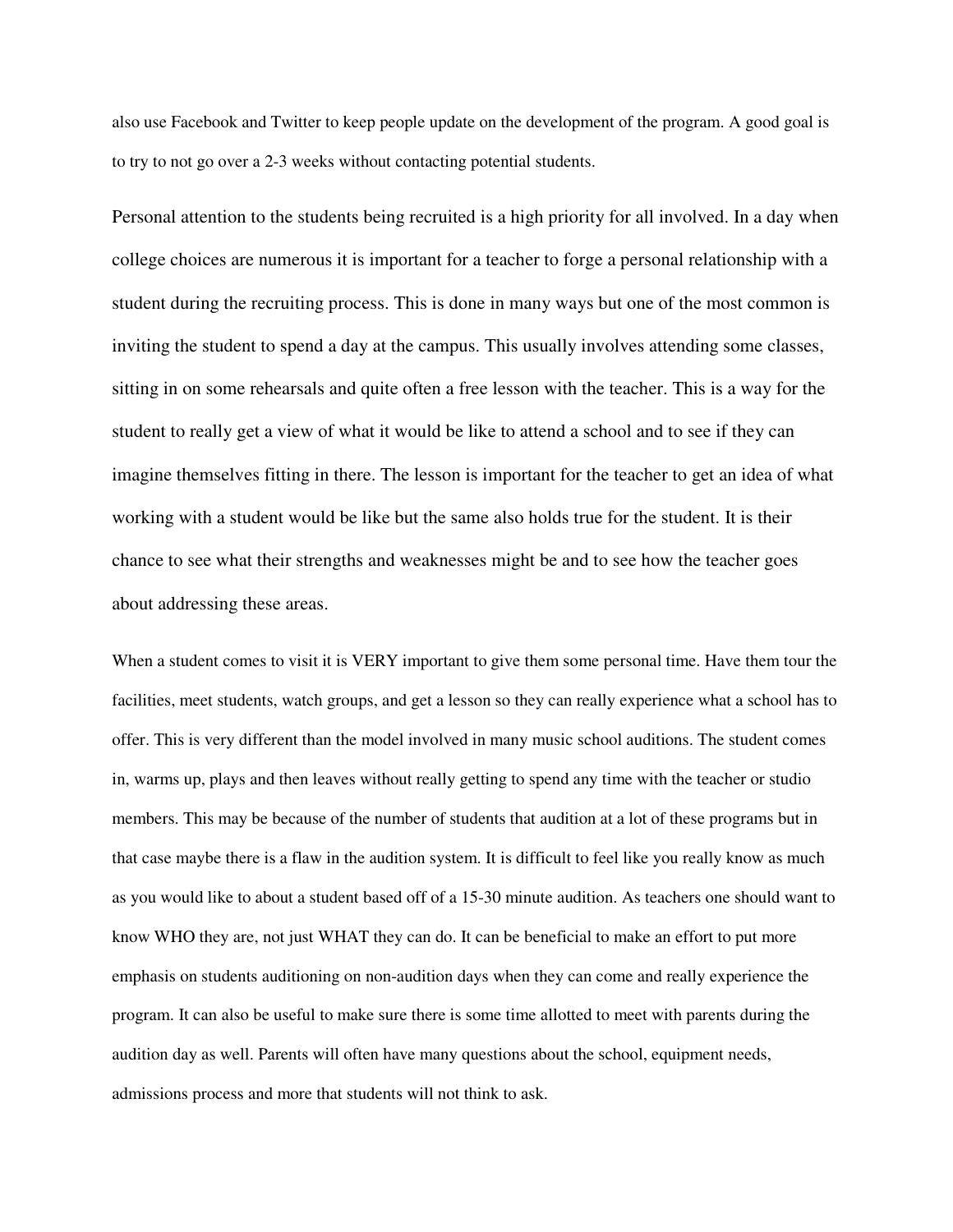also use Facebook and Twitter to keep people update on the development of the program. A good goal is to try to not go over a 2-3 weeks without contacting potential students.

Personal attention to the students being recruited is a high priority for all involved. In a day when college choices are numerous it is important for a teacher to forge a personal relationship with a student during the recruiting process. This is done in many ways but one of the most common is inviting the student to spend a day at the campus. This usually involves attending some classes, sitting in on some rehearsals and quite often a free lesson with the teacher. This is a way for the student to really get a view of what it would be like to attend a school and to see if they can imagine themselves fitting in there. The lesson is important for the teacher to get an idea of what working with a student would be like but the same also holds true for the student. It is their chance to see what their strengths and weaknesses might be and to see how the teacher goes about addressing these areas.

When a student comes to visit it is VERY important to give them some personal time. Have them tour the facilities, meet students, watch groups, and get a lesson so they can really experience what a school has to offer. This is very different than the model involved in many music school auditions. The student comes in, warms up, plays and then leaves without really getting to spend any time with the teacher or studio members. This may be because of the number of students that audition at a lot of these programs but in that case maybe there is a flaw in the audition system. It is difficult to feel like you really know as much as you would like to about a student based off of a 15-30 minute audition. As teachers one should want to know WHO they are, not just WHAT they can do. It can be beneficial to make an effort to put more emphasis on students auditioning on non-audition days when they can come and really experience the program. It can also be useful to make sure there is some time allotted to meet with parents during the audition day as well. Parents will often have many questions about the school, equipment needs, admissions process and more that students will not think to ask.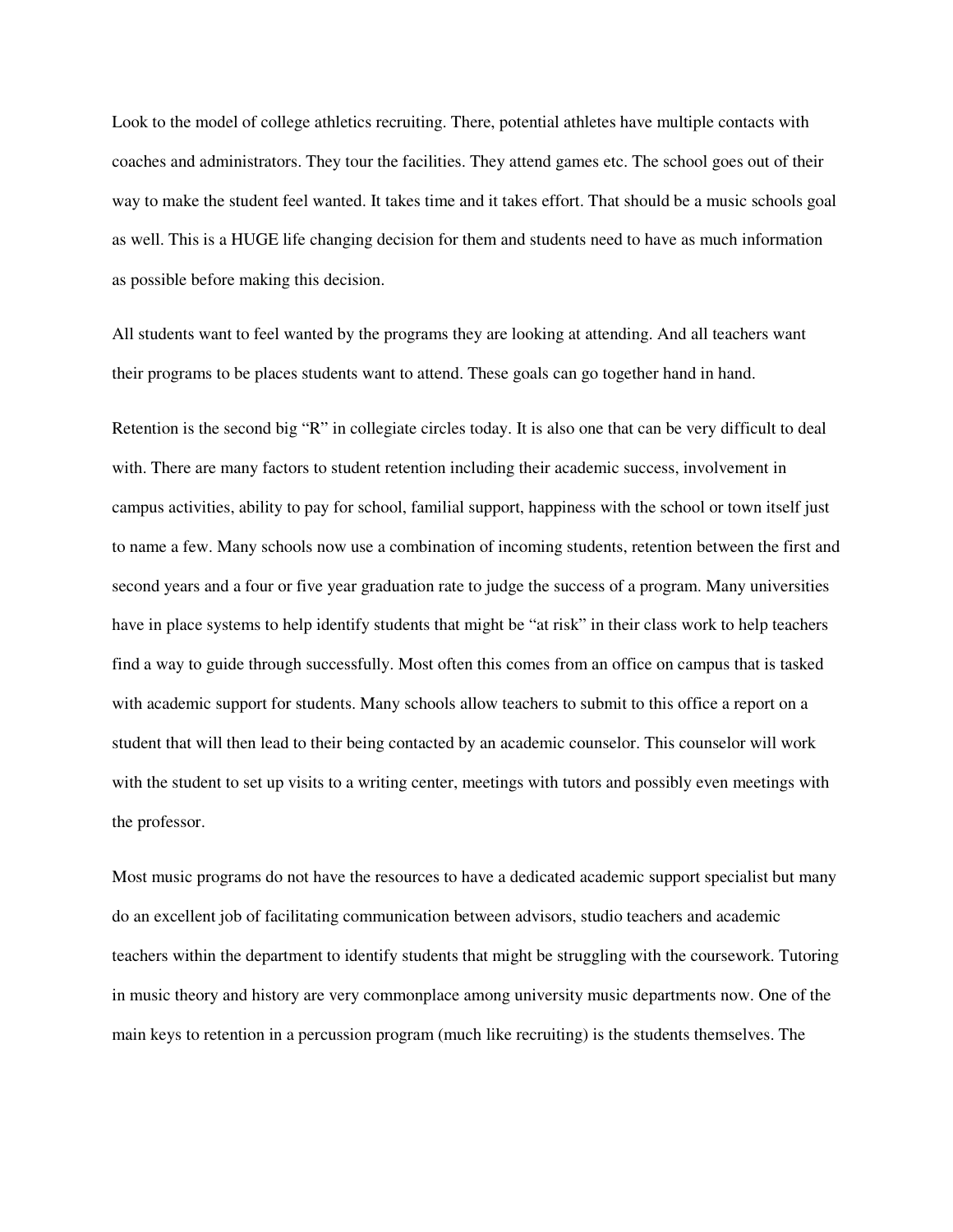Look to the model of college athletics recruiting. There, potential athletes have multiple contacts with coaches and administrators. They tour the facilities. They attend games etc. The school goes out of their way to make the student feel wanted. It takes time and it takes effort. That should be a music schools goal as well. This is a HUGE life changing decision for them and students need to have as much information as possible before making this decision.

All students want to feel wanted by the programs they are looking at attending. And all teachers want their programs to be places students want to attend. These goals can go together hand in hand.

Retention is the second big "R" in collegiate circles today. It is also one that can be very difficult to deal with. There are many factors to student retention including their academic success, involvement in campus activities, ability to pay for school, familial support, happiness with the school or town itself just to name a few. Many schools now use a combination of incoming students, retention between the first and second years and a four or five year graduation rate to judge the success of a program. Many universities have in place systems to help identify students that might be "at risk" in their class work to help teachers find a way to guide through successfully. Most often this comes from an office on campus that is tasked with academic support for students. Many schools allow teachers to submit to this office a report on a student that will then lead to their being contacted by an academic counselor. This counselor will work with the student to set up visits to a writing center, meetings with tutors and possibly even meetings with the professor.

Most music programs do not have the resources to have a dedicated academic support specialist but many do an excellent job of facilitating communication between advisors, studio teachers and academic teachers within the department to identify students that might be struggling with the coursework. Tutoring in music theory and history are very commonplace among university music departments now. One of the main keys to retention in a percussion program (much like recruiting) is the students themselves. The